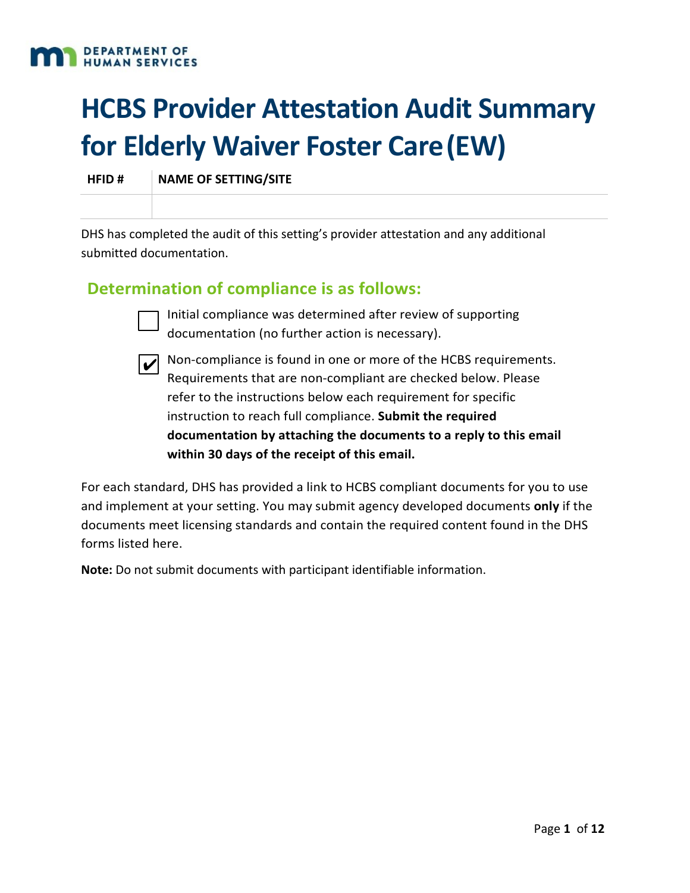

# **HCBS Provider Attestation Audit Summary for Elderly Waiver Foster Care(EW)**

**HFID # NAME OF SETTING/SITE**

DHS has completed the audit of this setting's provider attestation and any additional submitted documentation.

#### **Determination of compliance is as follows:**



Initial compliance was determined after review of supporting documentation (no further action is necessary).



 $\vec{v}$  Non-compliance is found in one or more of the HCBS requirements. Requirements that are non‐compliant are checked below. Please refer to the instructions below each requirement for specific instruction to reach full compliance. **Submit the required documentation by attaching the documents to a reply to this email within 30 days of the receipt of this email.**

For each standard, DHS has provided a link to HCBS compliant documents for you to use and implement at your setting. You may submit agency developed documents **only** if the documents meet licensing standards and contain the required content found in the DHS forms listed here.

**Note:** Do not submit documents with participant identifiable information.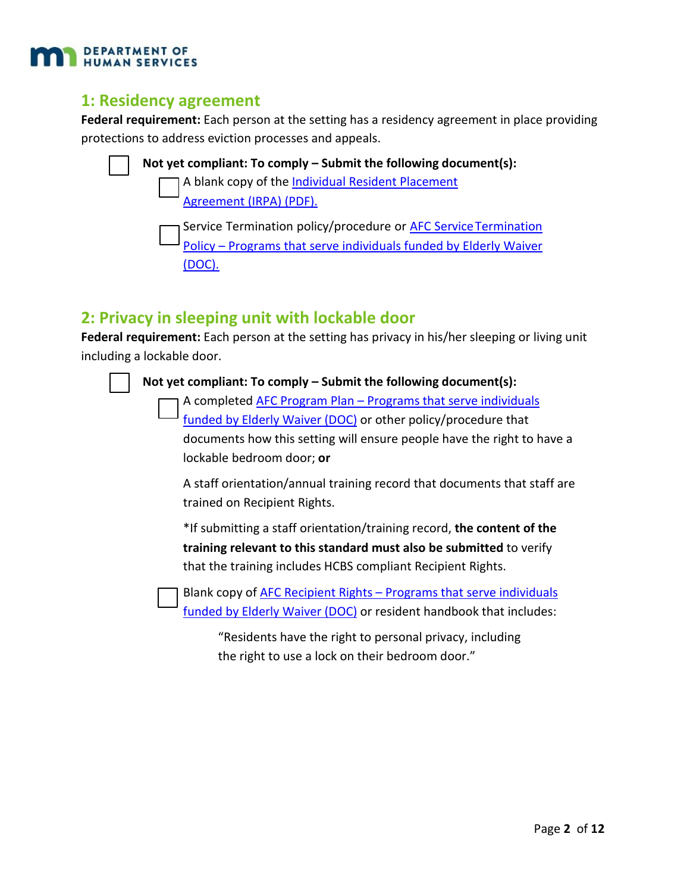

#### **1: Residency agreement**

**Federal requirement:** Each person at the setting has a residency agreement in place providing protections to address eviction processes and appeals.



#### **2: Privacy in sleeping unit with lockable door**

**Federal requirement:** Each person at the setting has privacy in his/her sleeping or living unit including a lockable door.



**Not yet compliant: To comply – Submit the following document(s):**

[A completed AFC Program Plan – Programs that serve individuals](http://www.dhs.state.mn.us/main/idcplg?IdcService=GET_FILE&RevisionSelectionMethod=LatestReleased&Rendition=Primary&allowInterrupt=1&dDocName=DHS-293820) [funded by Elderly Waiver \(DOC\)](http://www.dhs.state.mn.us/main/idcplg?IdcService=GET_FILE&RevisionSelectionMethod=LatestReleased&Rendition=Primary&allowInterrupt=1&dDocName=DHS-293820) or other policy/procedure that documents how this setting will ensure people have the right to have a lockable bedroom door; **or**

A staff orientation/annual training record that documents that staff are trained on Recipient Rights.

\*If submitting a staff orientation/training record, **the content of the training relevant to this standard must also be submitted** to verify that the training includes HCBS compliant Recipient Rights.

[Blank copy of AFC Recipient Rights – Programs that serve individuals](http://www.dhs.state.mn.us/main/idcplg?IdcService=GET_FILE&RevisionSelectionMethod=LatestReleased&Rendition=Primary&allowInterrupt=1&dDocName=DHS-293817) funded by Elderly Waiver (DOC) [or resident handbook that includes:](http://www.dhs.state.mn.us/main/idcplg?IdcService=GET_FILE&RevisionSelectionMethod=LatestReleased&Rendition=Primary&allowInterrupt=1&dDocName=DHS-293817)

"Residents have the right to personal privacy, including the right to use a lock on their bedroom door."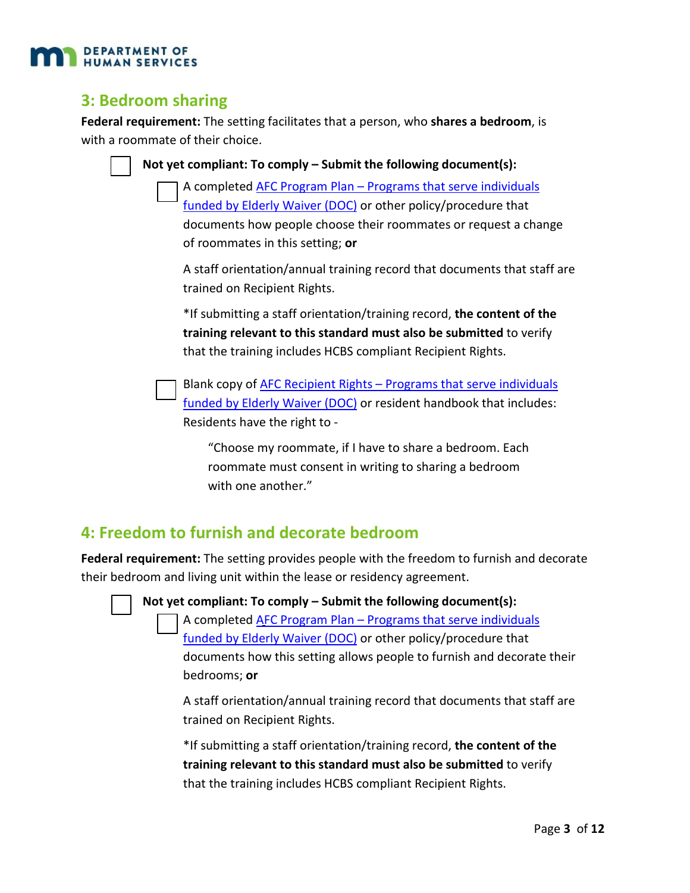

#### **3: Bedroom sharing**

**Federal requirement:** The setting facilitates that a person, who **shares a bedroom**, is with a roommate of their choice.

**Not yet compliant: To comply – Submit the following document(s):**

[A completed AFC Program Plan – Programs that serve individuals](http://www.dhs.state.mn.us/main/idcplg?IdcService=GET_FILE&RevisionSelectionMethod=LatestReleased&Rendition=Primary&allowInterrupt=1&dDocName=DHS-293820) [funded by Elderly Waiver \(DOC\)](http://www.dhs.state.mn.us/main/idcplg?IdcService=GET_FILE&RevisionSelectionMethod=LatestReleased&Rendition=Primary&allowInterrupt=1&dDocName=DHS-293820) or other policy/procedure that documents how people choose their roommates or request a change of roommates in this setting; **or**

A staff orientation/annual training record that documents that staff are trained on Recipient Rights.

\*If submitting a staff orientation/training record, **the content of the training relevant to this standard must also be submitted** to verify that the training includes HCBS compliant Recipient Rights.

[Blank copy of AFC Recipient Rights – Programs that serve individuals](http://www.dhs.state.mn.us/main/idcplg?IdcService=GET_FILE&RevisionSelectionMethod=LatestReleased&Rendition=Primary&allowInterrupt=1&dDocName=DHS-293817) funded by Elderly Waiver (DOC) [or resident handbook that includes:](http://www.dhs.state.mn.us/main/idcplg?IdcService=GET_FILE&RevisionSelectionMethod=LatestReleased&Rendition=Primary&allowInterrupt=1&dDocName=DHS-293817) Residents have the right to ‐

"Choose my roommate, if I have to share a bedroom. Each roommate must consent in writing to sharing a bedroom with one another."

#### **4: Freedom to furnish and decorate bedroom**

**Federal requirement:** The setting provides people with the freedom to furnish and decorate their bedroom and living unit within the lease or residency agreement.



**Not yet compliant: To comply – Submit the following document(s):**

[A completed AFC Program Plan – Programs that serve individuals](http://www.dhs.state.mn.us/main/idcplg?IdcService=GET_FILE&RevisionSelectionMethod=LatestReleased&Rendition=Primary&allowInterrupt=1&dDocName=DHS-293820) [funded by Elderly Waiver \(DOC\)](http://www.dhs.state.mn.us/main/idcplg?IdcService=GET_FILE&RevisionSelectionMethod=LatestReleased&Rendition=Primary&allowInterrupt=1&dDocName=DHS-293820) or other policy/procedure that documents how this setting allows people to furnish and decorate their bedrooms; **or**

A staff orientation/annual training record that documents that staff are trained on Recipient Rights.

\*If submitting a staff orientation/training record, **the content of the training relevant to this standard must also be submitted** to verify that the training includes HCBS compliant Recipient Rights.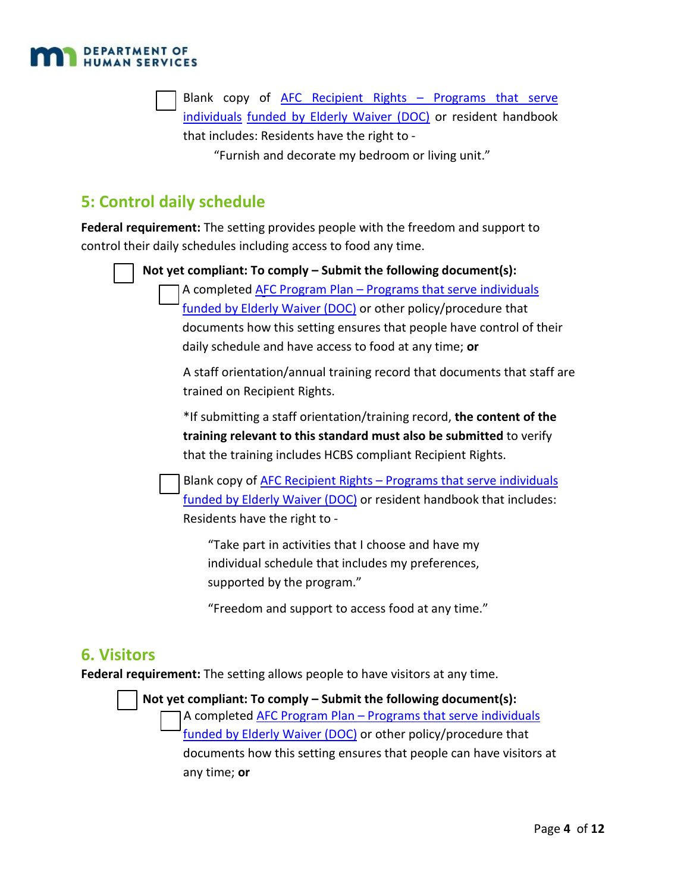

[Blank copy of AFC Recipient Rights – Programs that serve](http://www.dhs.state.mn.us/main/idcplg?IdcService=GET_FILE&RevisionSelectionMethod=LatestReleased&Rendition=Primary&allowInterrupt=1&dDocName=DHS-293817)  individuals [funded by Elderly Waiver \(DOC\)](http://www.dhs.state.mn.us/main/idcplg?IdcService=GET_FILE&RevisionSelectionMethod=LatestReleased&Rendition=Primary&allowInterrupt=1&dDocName=DHS-293817) or resident handbook that includes: Residents have the right to ‐

"Furnish and decorate my bedroom or living unit."

### **5: Control daily schedule**

**Federal requirement:** The setting provides people with the freedom and support to control their daily schedules including access to food any time.

**Not yet compliant: To comply – Submit the following document(s):**

A completed **AFC Program Plan – Programs that serve individuals** [funded by Elderly Waiver \(DOC\)](http://www.dhs.state.mn.us/main/idcplg?IdcService=GET_FILE&RevisionSelectionMethod=LatestReleased&Rendition=Primary&allowInterrupt=1&dDocName=DHS-293820) or other policy/procedure that documents how this setting ensures that people have control of their daily schedule and have access to food at any time; **or**

A staff orientation/annual training record that documents that staff are trained on Recipient Rights.

\*If submitting a staff orientation/training record, **the content of the training relevant to this standard must also be submitted** to verify that the training includes HCBS compliant Recipient Rights.

[Blank copy of AFC Recipient Rights – Programs that serve individuals](http://www.dhs.state.mn.us/main/idcplg?IdcService=GET_FILE&RevisionSelectionMethod=LatestReleased&Rendition=Primary&allowInterrupt=1&dDocName=DHS-293817) funded by Elderly Waiver (DOC) [or resident handbook that includes:](http://www.dhs.state.mn.us/main/idcplg?IdcService=GET_FILE&RevisionSelectionMethod=LatestReleased&Rendition=Primary&allowInterrupt=1&dDocName=DHS-293817) Residents have the right to ‐

"Take part in activities that I choose and have my individual schedule that includes my preferences, supported by the program."

"Freedom and support to access food at any time."

#### **6. Visitors**

**Federal requirement:** The setting allows people to have visitors at any time.

**Not yet compliant: To comply – Submit the following document(s):** [A completed AFC Program Plan – Programs that serve individuals](http://www.dhs.state.mn.us/main/idcplg?IdcService=GET_FILE&RevisionSelectionMethod=LatestReleased&Rendition=Primary&allowInterrupt=1&dDocName=DHS-293820) [funded by Elderly Waiver \(DOC\)](http://www.dhs.state.mn.us/main/idcplg?IdcService=GET_FILE&RevisionSelectionMethod=LatestReleased&Rendition=Primary&allowInterrupt=1&dDocName=DHS-293820) or other policy/procedure that

documents how this setting ensures that people can have visitors at any time; **or**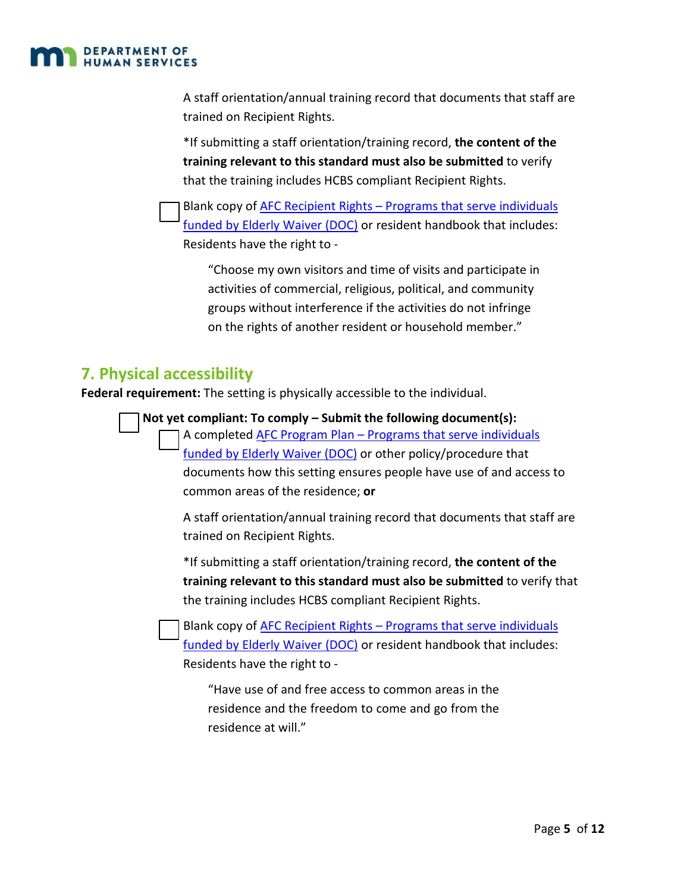

A staff orientation/annual training record that documents that staff are trained on Recipient Rights.

\*If submitting a staff orientation/training record, **the content of the training relevant to this standard must also be submitted** to verify that the training includes HCBS compliant Recipient Rights.

[Blank copy of AFC Recipient Rights – Programs that serve individuals](http://www.dhs.state.mn.us/main/idcplg?IdcService=GET_FILE&RevisionSelectionMethod=LatestReleased&Rendition=Primary&allowInterrupt=1&dDocName=DHS-293817) funded by Elderly Waiver (DOC) [or resident handbook that includes:](http://www.dhs.state.mn.us/main/idcplg?IdcService=GET_FILE&RevisionSelectionMethod=LatestReleased&Rendition=Primary&allowInterrupt=1&dDocName=DHS-293817) Residents have the right to ‐

"Choose my own visitors and time of visits and participate in activities of commercial, religious, political, and community groups without interference if the activities do not infringe on the rights of another resident or household member."

#### **7. Physical accessibility**

**Federal requirement:** The setting is physically accessible to the individual.

**Not yet compliant: To comply – Submit the following document(s):** A completed **AFC Program Plan – Programs that serve individuals** funded by Elderly Waiver (DOC) or other policy/procedure that documents how this setting ensures people have use of and access to common areas of the residence; **or**

A staff orientation/annual training record that documents that staff are trained on Recipient Rights.

\*If submitting a staff orientation/training record, **the content of the training relevant to this standard must also be submitted** to verify that the training includes HCBS compliant Recipient Rights.

Blank copy of AFC Recipient Rights – Programs that serve individuals funded by Elderly Waiver (DOC) or resident handbook that includes: Residents have the right to ‐

"Have use of and free access to common areas in the residence and the freedom to come and go from the residence at will."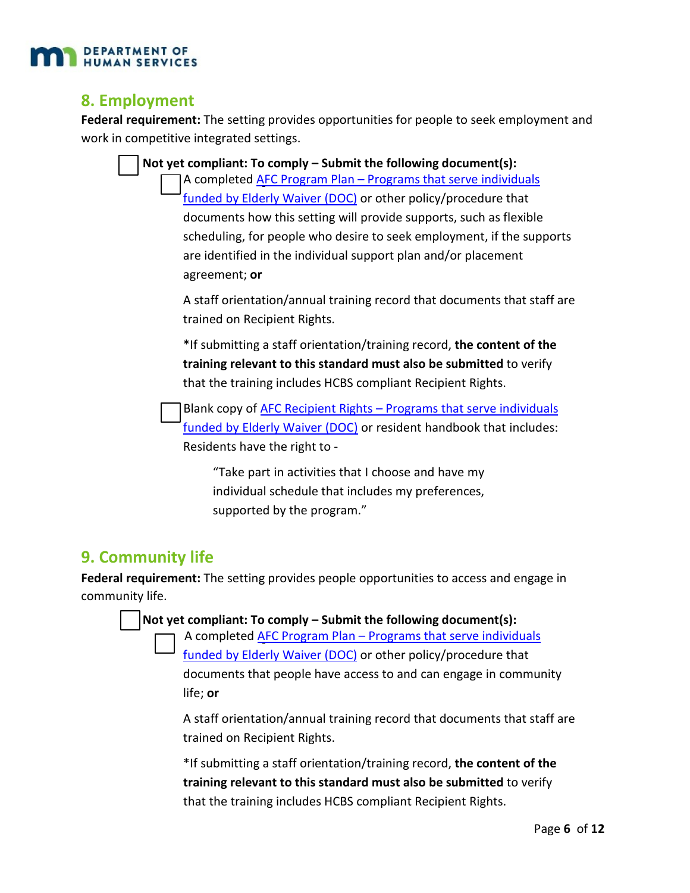

#### **8. Employment**

**Federal requirement:** The setting provides opportunities for people to seek employment and work in competitive integrated settings.

| Not yet compliant: To comply - Submit the following document(s):                                         |
|----------------------------------------------------------------------------------------------------------|
| A completed AFC Program Plan - Programs that serve individuals                                           |
| funded by Elderly Waiver (DOC) or other policy/procedure that                                            |
| documents how this setting will provide supports, such as flexible                                       |
| scheduling, for people who desire to seek employment, if the supports                                    |
| are identified in the individual support plan and/or placement                                           |
| agreement; or                                                                                            |
| A staff orientation/annual training record that documents that staff are<br>trained on Recipient Rights. |
| *If submitting a staff orientation/training record, the content of the                                   |
| training relevant to this standard must also be submitted to verify                                      |
| that the training includes HCBS compliant Recipient Rights.                                              |
| Blank copy of AFC Recipient Rights - Programs that serve individuals                                     |
| funded by Elderly Waiver (DOC) or resident handbook that includes:                                       |
| Residents have the right to -                                                                            |

"Take part in activities that I choose and have my individual schedule that includes my preferences, supported by the program."

#### **9. Community life**

**Federal requirement:** The setting provides people opportunities to access and engage in community life.

**Not yet compliant: To comply – Submit the following document(s):**

[A completed AFC Program Plan – Programs that serve i](http://www.dhs.state.mn.us/main/idcplg?IdcService=GET_FILE&RevisionSelectionMethod=LatestReleased&Rendition=Primary&allowInterrupt=1&dDocName=DHS-293820)ndividuals [funded by Elderly Waiver \(DOC\)](http://www.dhs.state.mn.us/main/idcplg?IdcService=GET_FILE&RevisionSelectionMethod=LatestReleased&Rendition=Primary&allowInterrupt=1&dDocName=DHS-293820) or other policy/procedure that documents that people have access to and can engage in community life; **or**

A staff orientation/annual training record that documents that staff are trained on Recipient Rights.

\*If submitting a staff orientation/training record, **the content of the training relevant to this standard must also be submitted** to verify that the training includes HCBS compliant Recipient Rights.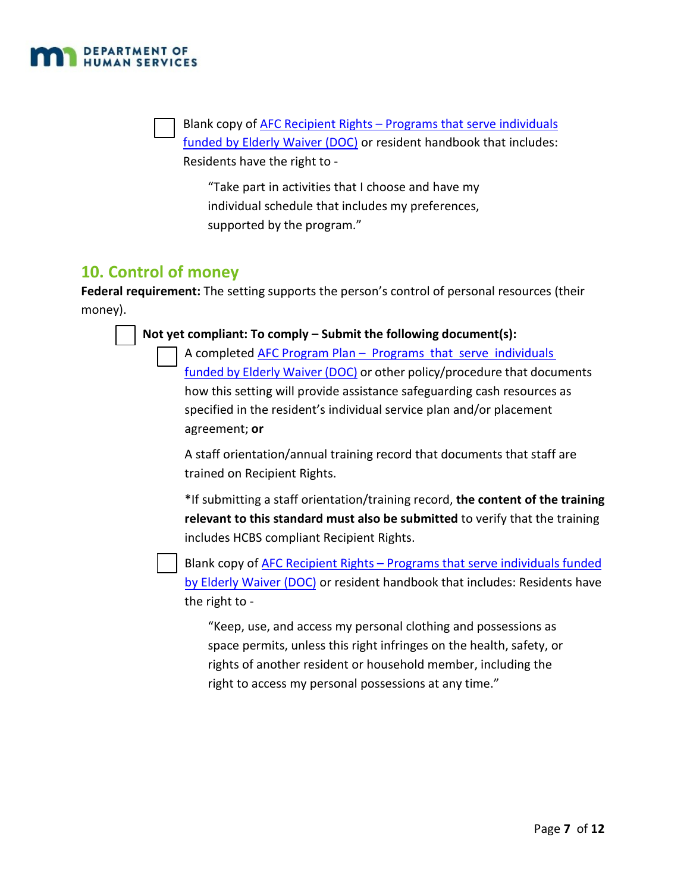

Blank copy of AFC Recipient Rights – Programs that serve individuals funded by Elderly Waiver (DOC) or resident handbook that includes: Residents have the right to ‐

"Take part in activities that I choose and have my individual schedule that includes my preferences, supported by the program."

#### **10. Control of money**

**Federal requirement:** The setting supports the person's control of personal resources (their money).

#### **Not yet compliant: To comply – Submit the following document(s):**

A completed AFC Program Plan – Programs that serve individuals funded by Elderly Waiver (DOC) or other policy/procedure that documents how this setting will provide assistance safeguarding cash resources as specified in the resident's individual service plan and/or placement agreement; **or**

A staff orientation/annual training record that documents that staff are trained on Recipient Rights.

\*If submitting a staff orientation/training record, **the content of the training relevant to this standard must also be submitted** to verify that the training includes HCBS compliant Recipient Rights.

Blank copy of AFC Recipient Rights – Programs that serve individuals funded by Elderly Waiver (DOC) or resident handbook that includes: Residents have the right to ‐

"Keep, use, and access my personal clothing and possessions as space permits, unless this right infringes on the health, safety, or rights of another resident or household member, including the right to access my personal possessions at any time."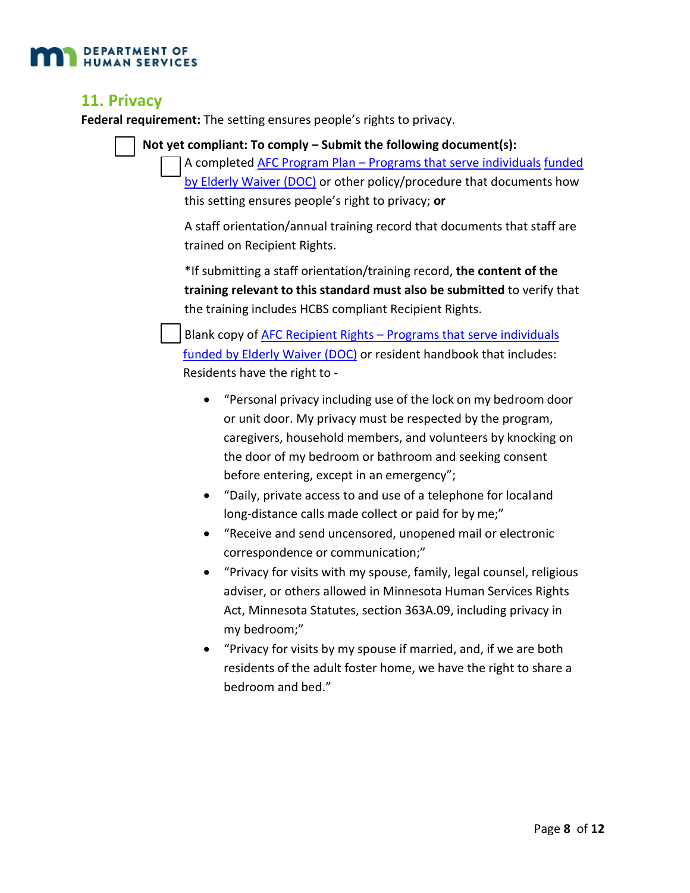

#### **11. Privacy**

**Federal requirement:** The setting ensures people's rights to privacy.

**Not yet compliant: To comply – Submit the following document(s):**

A completed AFC Program Plan – Programs that serve individuals funded by Elderly Waiver (DOC) or other policy/procedure that documents how this setting ensures people's right to privacy; **or**

A staff orientation/annual training record that documents that staff are trained on Recipient Rights.

\*If submitting a staff orientation/training record, **the content of the training relevant to this standard must also be submitted** to verify that the training includes HCBS compliant Recipient Rights.

Blank copy of AFC Recipient Rights – Programs that serve individuals funded by Elderly Waiver (DOC) or resident handbook that includes: Residents have the right to ‐

- "Personal privacy including use of the lock on my bedroom door or unit door. My privacy must be respected by the program, caregivers, household members, and volunteers by knocking on the door of my bedroom or bathroom and seeking consent before entering, except in an emergency";
- "Daily, private access to and use of a telephone for localand long-distance calls made collect or paid for by me;"
- "Receive and send uncensored, unopened mail or electronic correspondence or communication;"
- "Privacy for visits with my spouse, family, legal counsel, religious adviser, or others allowed in Minnesota Human Services Rights Act, Minnesota Statutes, section 363A.09, including privacy in my bedroom;"
- "Privacy for visits by my spouse if married, and, if we are both residents of the adult foster home, we have the right to share a bedroom and bed."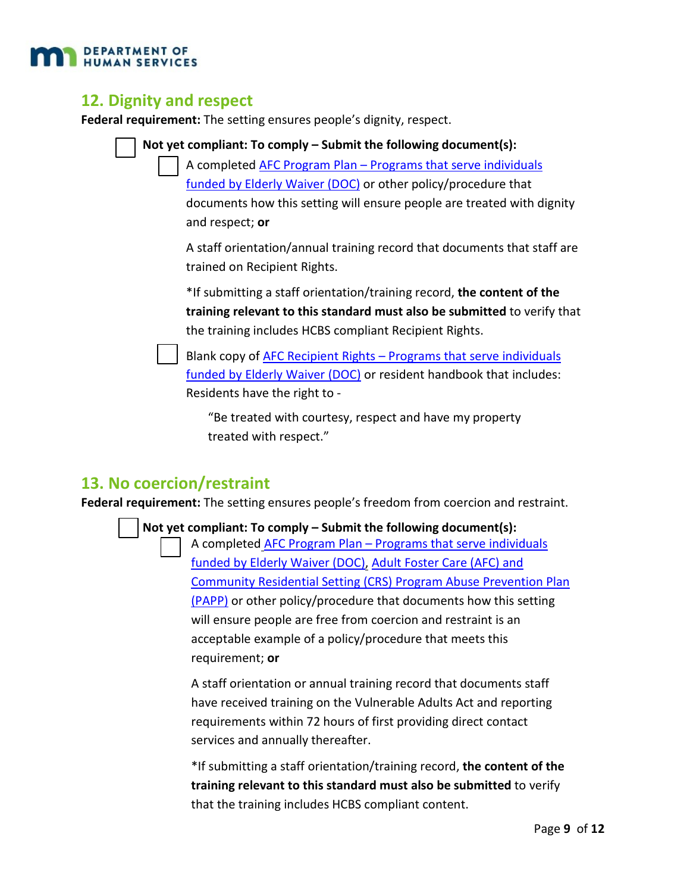

#### **12. Dignity and respect**

**Federal requirement:** The setting ensures people's dignity, respect.



"Be treated with courtesy, respect and have my property treated with respect."

#### **13. No coercion/restraint**

**Federal requirement:** The setting ensures people's freedom from coercion and restraint.

**Not yet compliant: To comply – Submit the following document(s):**

[A completed AFC Program Plan – Programs that serve individuals](http://www.dhs.state.mn.us/main/groups/agencywide/documents/pub/dhs16_180922.pdf) [funded by Elderly Waiver \(DOC\), Adult Foster Care \(AFC\) and](http://www.dhs.state.mn.us/main/groups/agencywide/documents/pub/dhs16_180922.pdf) [Community Residential Setting \(CRS\) Program Abuse Prevention Plan](http://www.dhs.state.mn.us/main/groups/agencywide/documents/pub/dhs16_180922.pdf) (PAPP) [or other policy/procedure that documents how this setting](http://www.dhs.state.mn.us/main/groups/agencywide/documents/pub/dhs16_180922.pdf) will ensure people are free from coercion and restraint is an acceptable example of a policy/procedure that meets this requirement; **or**

A staff orientation or annual training record that documents staff have received training on the Vulnerable Adults Act and reporting requirements within 72 hours of first providing direct contact services and annually thereafter.

\*If submitting a staff orientation/training record, **the content of the training relevant to this standard must also be submitted** to verify that the training includes HCBS compliant content.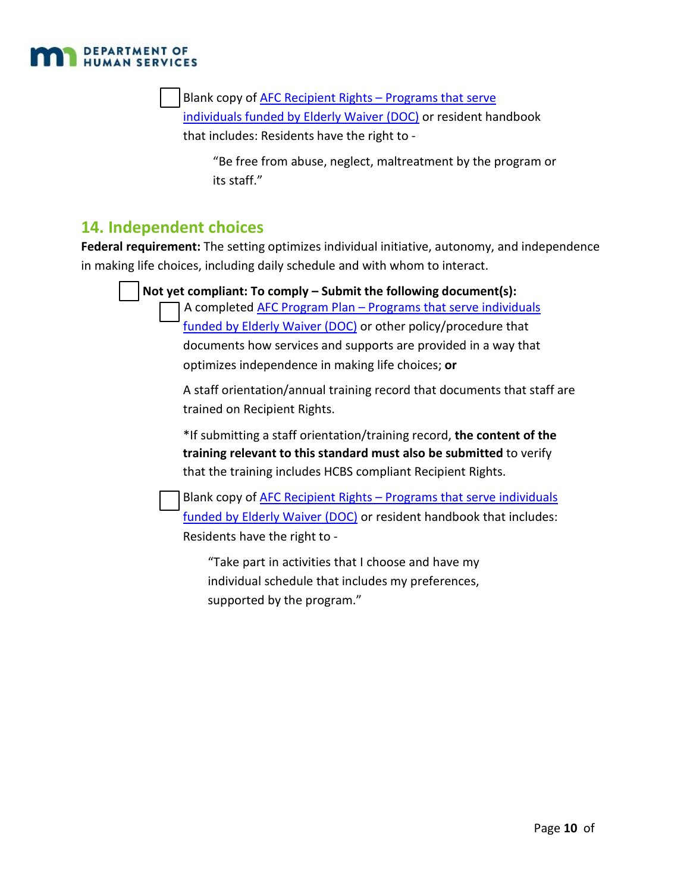

Blank copy of AFC Recipient Rights - Programs that serve [individuals funded by Elderly Waiver \(DOC\)](http://www.dhs.state.mn.us/main/idcplg?IdcService=GET_FILE&RevisionSelectionMethod=LatestReleased&Rendition=Primary&allowInterrupt=1&dDocName=DHS-293817) or resident handbook that includes: Residents have the right to ‐

"Be free from abuse, neglect, maltreatment by the program or its staff."

#### **14. Independent choices**

**Federal requirement:** The setting optimizes individual initiative, autonomy, and independence in making life choices, including daily schedule and with whom to interact.

|  | Not yet compliant: To comply – Submit the following document(s):                                                                                                                                             |  |
|--|--------------------------------------------------------------------------------------------------------------------------------------------------------------------------------------------------------------|--|
|  | A completed AFC Program Plan - Programs that serve individuals                                                                                                                                               |  |
|  | funded by Elderly Waiver (DOC) or other policy/procedure that                                                                                                                                                |  |
|  | documents how services and supports are provided in a way that                                                                                                                                               |  |
|  | optimizes independence in making life choices; or                                                                                                                                                            |  |
|  | A staff orientation/annual training record that documents that staff are<br>trained on Recipient Rights.                                                                                                     |  |
|  | *If submitting a staff orientation/training record, the content of the<br>training relevant to this standard must also be submitted to verify<br>that the training includes HCBS compliant Recipient Rights. |  |
|  | Blank copy of AFC Recipient Rights - Programs that serve individuals<br>funded by Elderly Waiver (DOC) or resident handbook that includes:                                                                   |  |
|  | Residents have the right to -                                                                                                                                                                                |  |

"Take part in activities that I choose and have my individual schedule that includes my preferences, supported by the program."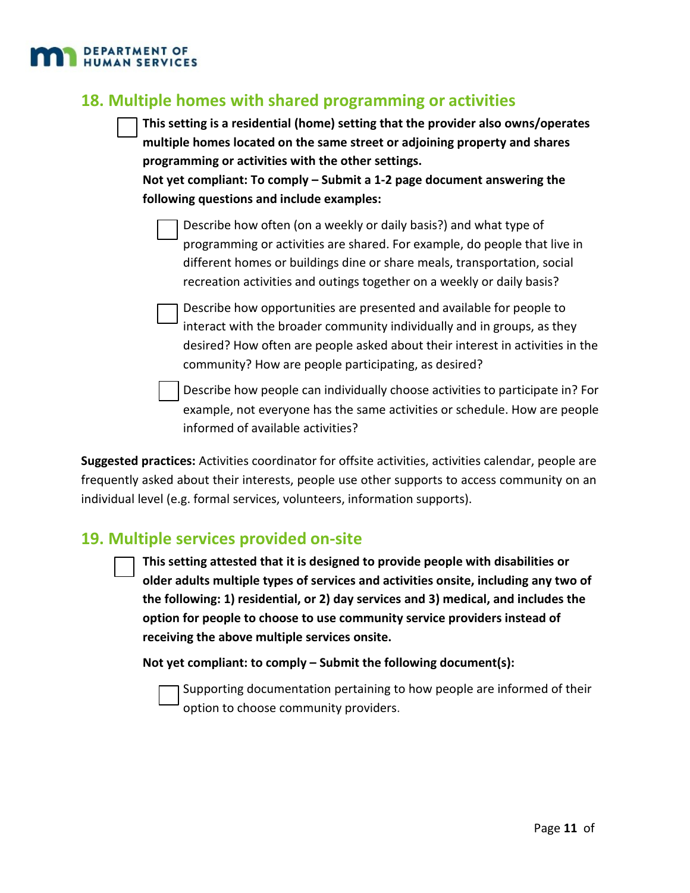

#### **18. Multiple homes with shared programming or activities**

**This setting is a residential (home) setting that the provider also owns/operates multiple homes located on the same street or adjoining property and shares programming or activities with the other settings.**

**Not yet compliant: To comply – Submit a 1-2 page document answering the following questions and include examples:**

Describe how often (on a weekly or daily basis?) and what type of programming or activities are shared. For example, do people that live in different homes or buildings dine or share meals, transportation, social recreation activities and outings together on a weekly or daily basis?

Describe how opportunities are presented and available for people to interact with the broader community individually and in groups, as they desired? How often are people asked about their interest in activities in the community? How are people participating, as desired?

Describe how people can individually choose activities to participate in? For example, not everyone has the same activities or schedule. How are people informed of available activities?

**Suggested practices:** Activities coordinator for offsite activities, activities calendar, people are frequently asked about their interests, people use other supports to access community on an individual level (e.g. formal services, volunteers, information supports).

#### **19. Multiple services provided on-site**

**This setting attested that it is designed to provide people with disabilities or older adults multiple types of services and activities onsite, including any two of the following: 1) residential, or 2) day services and 3) medical, and includes the option for people to choose to use community service providers instead of receiving the above multiple services onsite.**

**Not yet compliant: to comply – Submit the following document(s):**

Supporting documentation pertaining to how people are informed of their option to choose community providers.